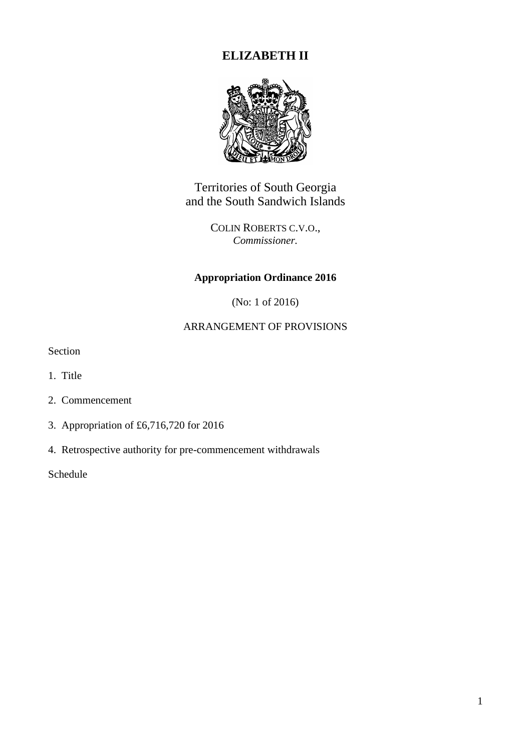# **ELIZABETH II**



Territories of South Georgia and the South Sandwich Islands

> COLIN ROBERTS C.V.O., *Commissioner.*

## **Appropriation Ordinance 2016**

(No: 1 of 2016)

## ARRANGEMENT OF PROVISIONS

Section

- 1. Title
- 2. Commencement
- 3. Appropriation of £6,716,720 for 2016
- 4. Retrospective authority for pre-commencement withdrawals

Schedule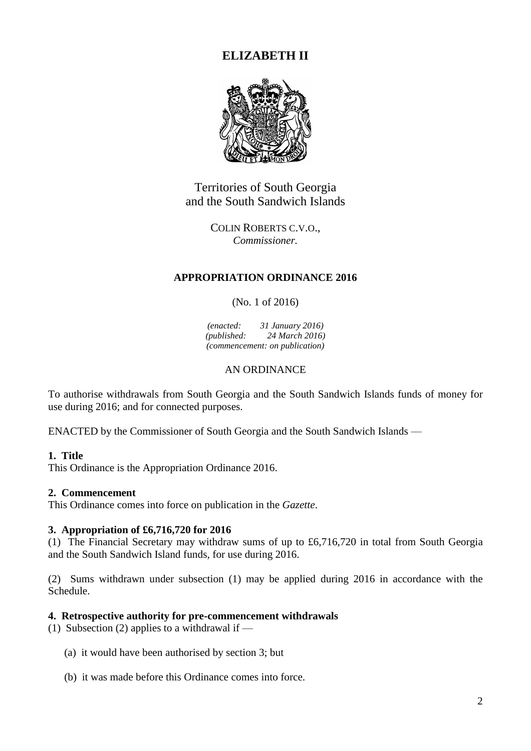## **ELIZABETH II**



Territories of South Georgia and the South Sandwich Islands

> COLIN ROBERTS C.V.O., *Commissioner.*

#### **APPROPRIATION ORDINANCE 2016**

(No. 1 of 2016)

*(enacted: 31 January 2016) (published: 24 March 2016) (commencement: on publication)*

#### AN ORDINANCE

To authorise withdrawals from South Georgia and the South Sandwich Islands funds of money for use during 2016; and for connected purposes.

ENACTED by the Commissioner of South Georgia and the South Sandwich Islands —

#### **1. Title**

This Ordinance is the Appropriation Ordinance 2016.

#### **2. Commencement**

This Ordinance comes into force on publication in the *Gazette*.

## **3. Appropriation of £6,716,720 for 2016**

(1) The Financial Secretary may withdraw sums of up to £6,716,720 in total from South Georgia and the South Sandwich Island funds, for use during 2016.

(2) Sums withdrawn under subsection (1) may be applied during 2016 in accordance with the Schedule.

#### **4. Retrospective authority for pre-commencement withdrawals**

(1) Subsection (2) applies to a withdrawal if  $-$ 

- (a) it would have been authorised by section 3; but
- (b) it was made before this Ordinance comes into force.